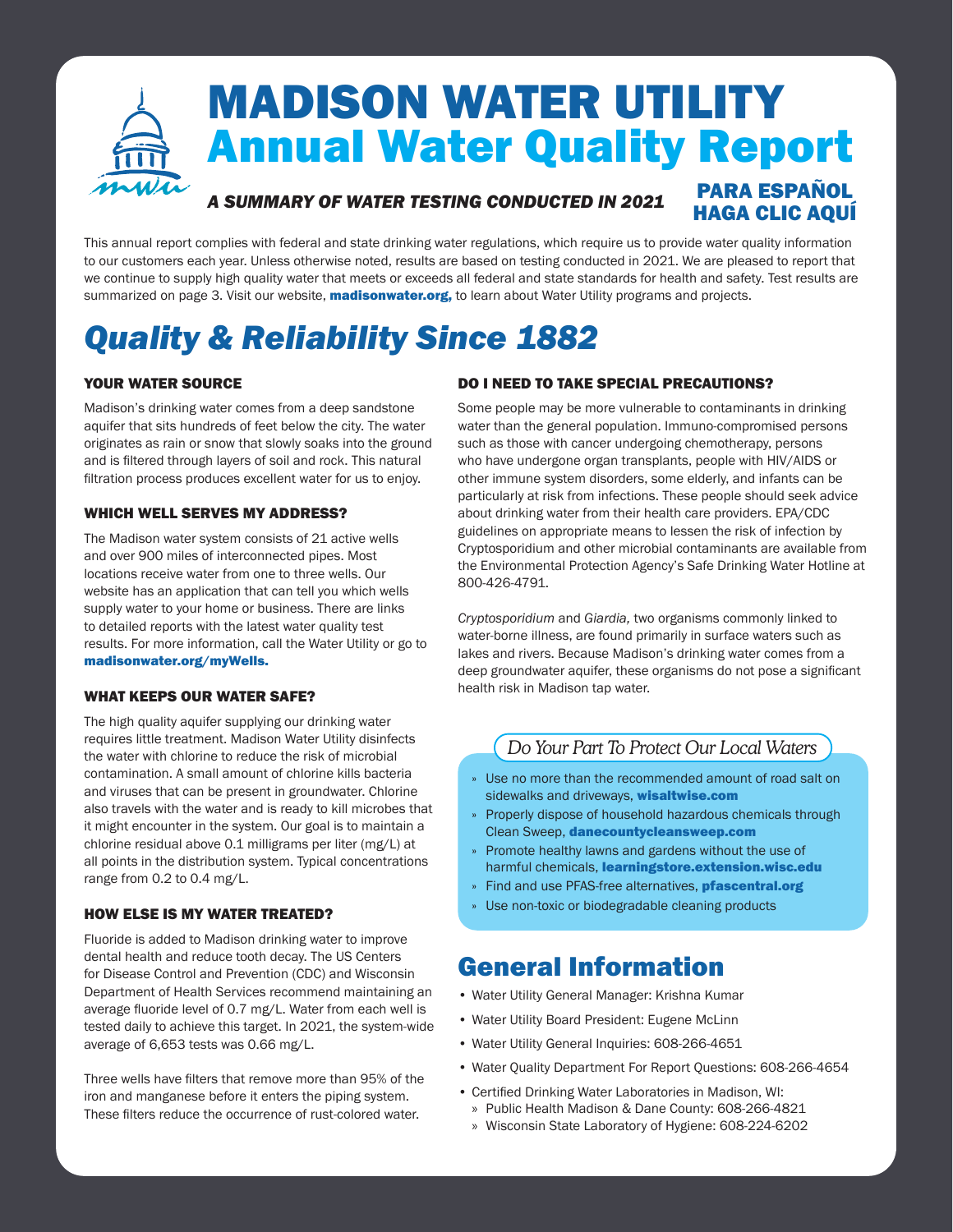### MADISON WATER UTILITY Annual Water Quality Report *A SUMMARY OF WATER TESTING CONDUCTED IN 2021* [PARA ESPAÑOL](https://www.cityofmadison.com/water/documents/water-quality/WaterQuality2022-Spanish.pdf) [HAGA CLIC AQUÍ](https://www.cityofmadison.com/sites/default/files/city-of-madison/water/documents/water-quality/WaterQualitySpanish.pdf)

This annual report complies with federal and state drinking water regulations, which require us to provide water quality information to our customers each year. Unless otherwise noted, results are based on testing conducted in 2021. We are pleased to report that we continue to supply high quality water that meets or exceeds all federal and state standards for health and safety. Test results are summarized on page 3. Visit our website, **[madisonwater.org](http://www.cityofmadison.com/water/)**, to learn about Water Utility programs and projects.

# *Quality & Reliability Since 1882*

### YOUR WATER SOURCE

Madison's drinking water comes from a deep sandstone aquifer that sits hundreds of feet below the city. The water originates as rain or snow that slowly soaks into the ground and is filtered through layers of soil and rock. This natural filtration process produces excellent water for us to enjoy.

### WHICH WELL SERVES MY ADDRESS?

The Madison water system consists of 21 active wells and over 900 miles of interconnected pipes. Most locations receive water from one to three wells. Our website has an application that can tell you which wells supply water to your home or business. There are links to detailed reports with the latest water quality test results. For more information, call the Water Utility or go to [madisonwater.org/myWells.](http://www.cityofmadison.com/water/waterQuality/myWells.cfm)

### WHAT KEEPS OUR WATER SAFE?

The high quality aquifer supplying our drinking water requires little treatment. Madison Water Utility disinfects the water with chlorine to reduce the risk of microbial contamination. A small amount of chlorine kills bacteria and viruses that can be present in groundwater. Chlorine also travels with the water and is ready to kill microbes that it might encounter in the system. Our goal is to maintain a chlorine residual above 0.1 milligrams per liter (mg/L) at all points in the distribution system. Typical concentrations range from 0.2 to 0.4 mg/L.

### HOW ELSE IS MY WATER TREATED?

Fluoride is added to Madison drinking water to improve dental health and reduce tooth decay. The US Centers for Disease Control and Prevention (CDC) and Wisconsin Department of Health Services recommend maintaining an average fluoride level of 0.7 mg/L. Water from each well is tested daily to achieve this target. In 2021, the system-wide average of 6,653 tests was 0.66 mg/L.

Three wells have filters that remove more than 95% of the iron and manganese before it enters the piping system. These filters reduce the occurrence of rust-colored water.

### DO I NEED TO TAKE SPECIAL PRECAUTIONS?

Some people may be more vulnerable to contaminants in drinking water than the general population. Immuno-compromised persons such as those with cancer undergoing chemotherapy, persons who have undergone organ transplants, people with HIV/AIDS or other immune system disorders, some elderly, and infants can be particularly at risk from infections. These people should seek advice about drinking water from their health care providers. EPA/CDC guidelines on appropriate means to lessen the risk of infection by Cryptosporidium and other microbial contaminants are available from the Environmental Protection Agency's Safe Drinking Water Hotline at 800-426-4791.

*Cryptosporidium* and *Giardia,* two organisms commonly linked to water-borne illness, are found primarily in surface waters such as lakes and rivers. Because Madison's drinking water comes from a deep groundwater aquifer, these organisms do not pose a significant health risk in Madison tap water.

### *Do Your Part To Protect Our Local Waters*

- » Use no more than the recommended amount of road salt on sidewalks and driveways, [wisaltwise.com](https://www.wisaltwise.com)
- » Properly dispose of household hazardous chemicals through Clean Sweep, [danecountycleansweep.com](http://danecountycleansweep.com/)
- » Promote healthy lawns and gardens without the use of harmful chemicals, [learningstore.extension.wisc.edu](https://learningstore.extension.wisc.edu/collections/lawn-garden)
- » Find and use PFAS-free alternatives, **[pfascentral.org](https://pfascentral.org/)**
- » Use non-toxic or biodegradable cleaning products

### General Information

- Water Utility General Manager: Krishna Kumar
- Water Utility Board President: Eugene McLinn
- Water Utility General Inquiries: 608-266-4651
- Water Quality Department For Report Questions: 608-266-4654
- Certified Drinking Water Laboratories in Madison, WI:
- » Public Health Madison & Dane County: 608-266-4821
- » Wisconsin State Laboratory of Hygiene: 608-224-6202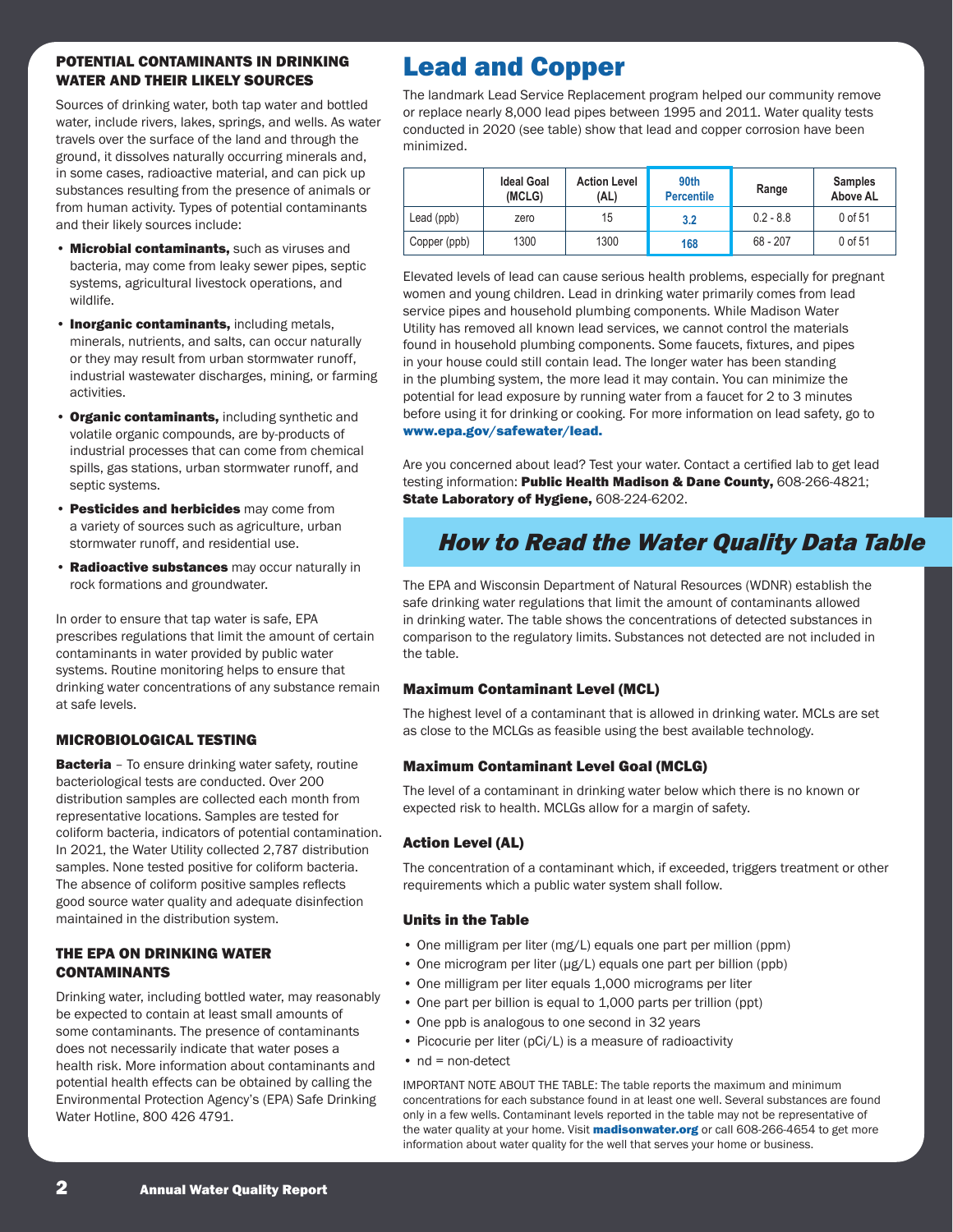### POTENTIAL CONTAMINANTS IN DRINKING WATER AND THEIR LIKELY SOURCES

Sources of drinking water, both tap water and bottled water, include rivers, lakes, springs, and wells. As water travels over the surface of the land and through the ground, it dissolves naturally occurring minerals and, in some cases, radioactive material, and can pick up substances resulting from the presence of animals or from human activity. Types of potential contaminants and their likely sources include:

- **Microbial contaminants, such as viruses and** bacteria, may come from leaky sewer pipes, septic systems, agricultural livestock operations, and wildlife.
- **· Inorganic contaminants, including metals,** minerals, nutrients, and salts, can occur naturally or they may result from urban stormwater runoff, industrial wastewater discharges, mining, or farming activities.
- Organic contaminants, including synthetic and volatile organic compounds, are by-products of industrial processes that can come from chemical spills, gas stations, urban stormwater runoff, and septic systems.
- Pesticides and herbicides may come from a variety of sources such as agriculture, urban stormwater runoff, and residential use.
- **Radioactive substances** may occur naturally in rock formations and groundwater.

In order to ensure that tap water is safe, EPA prescribes regulations that limit the amount of certain contaminants in water provided by public water systems. Routine monitoring helps to ensure that drinking water concentrations of any substance remain at safe levels.

### MICROBIOLOGICAL TESTING

**Bacteria** - To ensure drinking water safety, routine bacteriological tests are conducted. Over 200 distribution samples are collected each month from representative locations. Samples are tested for coliform bacteria, indicators of potential contamination. In 2021, the Water Utility collected 2,787 distribution samples. None tested positive for coliform bacteria. The absence of coliform positive samples reflects good source water quality and adequate disinfection maintained in the distribution system.

#### THE EPA ON DRINKING WATER CONTAMINANTS

Drinking water, including bottled water, may reasonably be expected to contain at least small amounts of some contaminants. The presence of contaminants does not necessarily indicate that water poses a health risk. More information about contaminants and potential health effects can be obtained by calling the Environmental Protection Agency's (EPA) Safe Drinking Water Hotline, 800 426 4791.

### Lead and Copper

The landmark Lead Service Replacement program helped our community remove or replace nearly 8,000 lead pipes between 1995 and 2011. Water quality tests conducted in 2020 (see table) show that lead and copper corrosion have been minimized.

|              | <b>Ideal Goal</b><br>(MCLG) | <b>Action Level</b><br>(AL) | 90th<br><b>Percentile</b> | Range       | <b>Samples</b><br>Above AL |
|--------------|-----------------------------|-----------------------------|---------------------------|-------------|----------------------------|
| Lead (ppb)   | zero                        | 15                          | 3.2                       | $0.2 - 8.8$ | 0 of 51                    |
| Copper (ppb) | 1300                        | 1300                        | 168                       | $68 - 207$  | 0 of 51                    |

Elevated levels of lead can cause serious health problems, especially for pregnant women and young children. Lead in drinking water primarily comes from lead service pipes and household plumbing components. While Madison Water Utility has removed all known lead services, we cannot control the materials found in household plumbing components. Some faucets, fixtures, and pipes in your house could still contain lead. The longer water has been standing in the plumbing system, the more lead it may contain. You can minimize the potential for lead exposure by running water from a faucet for 2 to 3 minutes before using it for drinking or cooking. For more information on lead safety, go to [www.epa.gov/safewater/lead.](http://www.epa.gov/safewater/lead)

Are you concerned about lead? Test your water. Contact a certified lab to get lead testing information: Public Health Madison & Dane County, 608-266-4821; State Laboratory of Hygiene, 608-224-6202.

### How to Read the Water Quality Data Table

The EPA and Wisconsin Department of Natural Resources (WDNR) establish the safe drinking water regulations that limit the amount of contaminants allowed in drinking water. The table shows the concentrations of detected substances in comparison to the regulatory limits. Substances not detected are not included in the table.

### Maximum Contaminant Level (MCL)

The highest level of a contaminant that is allowed in drinking water. MCLs are set as close to the MCLGs as feasible using the best available technology.

### Maximum Contaminant Level Goal (MCLG)

The level of a contaminant in drinking water below which there is no known or expected risk to health. MCLGs allow for a margin of safety.

### Action Level (AL)

The concentration of a contaminant which, if exceeded, triggers treatment or other requirements which a public water system shall follow.

### Units in the Table

- One milligram per liter (mg/L) equals one part per million (ppm)
- One microgram per liter (μg/L) equals one part per billion (ppb)
- One milligram per liter equals 1,000 micrograms per liter
- One part per billion is equal to 1,000 parts per trillion (ppt)
- One ppb is analogous to one second in 32 years
- Picocurie per liter (pCi/L) is a measure of radioactivity
- nd = non-detect

IMPORTANT NOTE ABOUT THE TABLE: The table reports the maximum and minimum concentrations for each substance found in at least one well. Several substances are found only in a few wells. Contaminant levels reported in the table may not be representative of the water quality at your home. Visit **[madisonwater.org](http://www.cityofmadison.com/water/)** or call 608-266-4654 to get more information about water quality for the well that serves your home or business.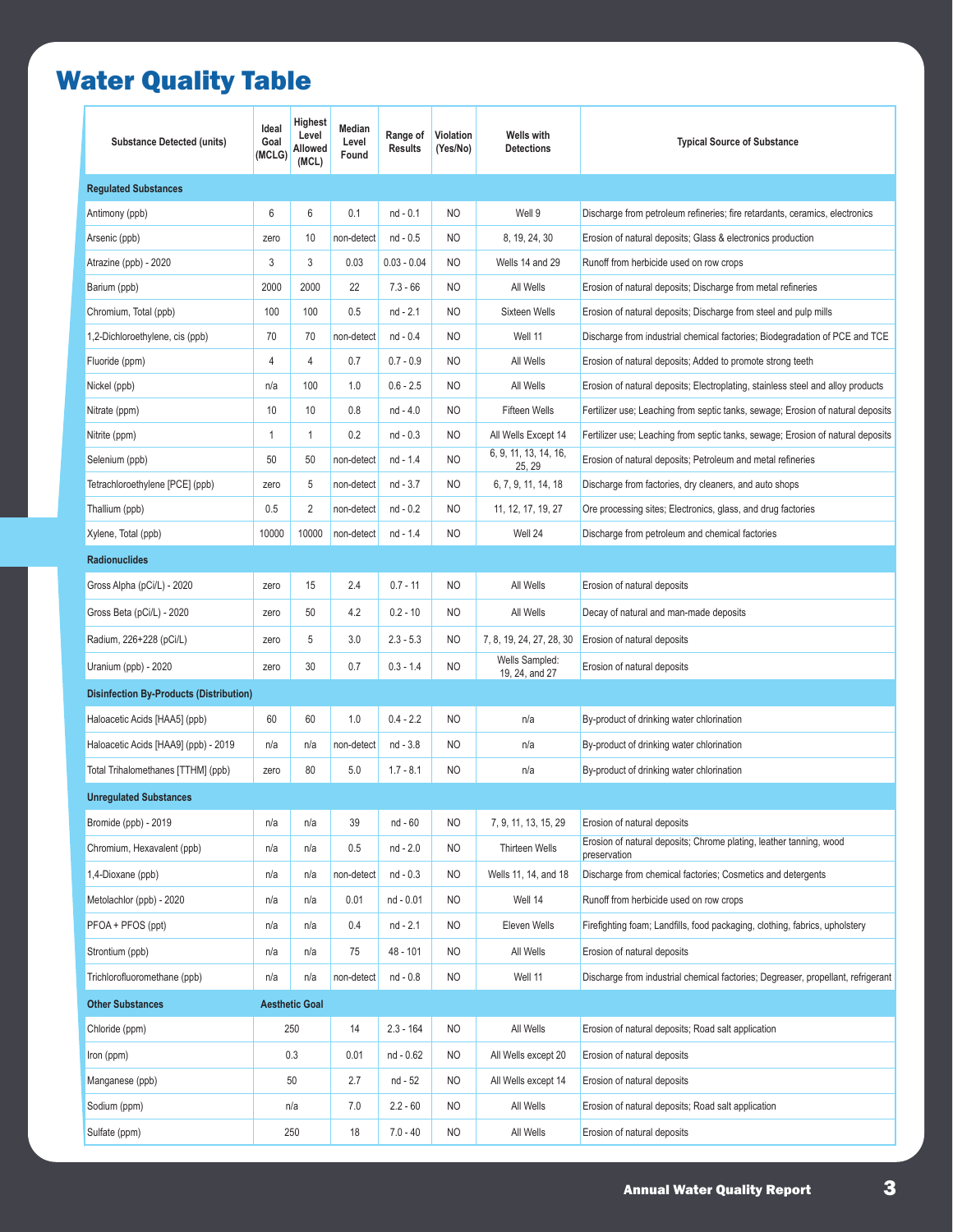## Water Quality Table

| <b>Substance Detected (units)</b>              | Ideal<br>Goal<br>(MCLG) | Highest<br>Level<br>Allowed<br>(MCL) | Median<br>Level<br>Found | Range of<br><b>Results</b> | Violation<br>(Yes/No) | Wells with<br><b>Detections</b>  | <b>Typical Source of Substance</b>                                                 |
|------------------------------------------------|-------------------------|--------------------------------------|--------------------------|----------------------------|-----------------------|----------------------------------|------------------------------------------------------------------------------------|
| <b>Regulated Substances</b>                    |                         |                                      |                          |                            |                       |                                  |                                                                                    |
| Antimony (ppb)                                 | 6                       | 6                                    | 0.1                      | nd - 0.1                   | N <sub>O</sub>        | Well 9                           | Discharge from petroleum refineries; fire retardants, ceramics, electronics        |
| Arsenic (ppb)                                  | zero                    | 10                                   | non-detect               | $nd - 0.5$                 | NO                    | 8, 19, 24, 30                    | Erosion of natural deposits; Glass & electronics production                        |
| Atrazine (ppb) - 2020                          | 3                       | 3                                    | 0.03                     | $0.03 - 0.04$              | NO                    | Wells 14 and 29                  | Runoff from herbicide used on row crops                                            |
| Barium (ppb)                                   | 2000                    | 2000                                 | 22                       | $7.3 - 66$                 | NO                    | All Wells                        | Erosion of natural deposits; Discharge from metal refineries                       |
| Chromium, Total (ppb)                          | 100                     | 100                                  | 0.5                      | $nd - 2.1$                 | NO                    | Sixteen Wells                    | Erosion of natural deposits; Discharge from steel and pulp mills                   |
| 1,2-Dichloroethylene, cis (ppb)                | 70                      | 70                                   | non-detect               | $nd - 0.4$                 | N <sub>O</sub>        | Well 11                          | Discharge from industrial chemical factories; Biodegradation of PCE and TCE        |
| Fluoride (ppm)                                 | $\overline{4}$          | 4                                    | 0.7                      | $0.7 - 0.9$                | NO                    | All Wells                        | Erosion of natural deposits; Added to promote strong teeth                         |
| Nickel (ppb)                                   | n/a                     | 100                                  | 1.0                      | $0.6 - 2.5$                | NO.                   | All Wells                        | Erosion of natural deposits; Electroplating, stainless steel and alloy products    |
| Nitrate (ppm)                                  | 10                      | 10                                   | 0.8                      | nd - 4.0                   | NO                    | <b>Fifteen Wells</b>             | Fertilizer use; Leaching from septic tanks, sewage; Erosion of natural deposits    |
| Nitrite (ppm)                                  | 1                       | 1                                    | 0.2                      | $nd - 0.3$                 | NO.                   | All Wells Except 14              | Fertilizer use; Leaching from septic tanks, sewage; Erosion of natural deposits    |
| Selenium (ppb)                                 | 50                      | 50                                   | non-detect               | nd - 1.4                   | NO                    | 6, 9, 11, 13, 14, 16,<br>25, 29  | Erosion of natural deposits; Petroleum and metal refineries                        |
| Tetrachloroethylene [PCE] (ppb)                | zero                    | 5                                    | non-detect               | $nd - 3.7$                 | NO                    | 6, 7, 9, 11, 14, 18              | Discharge from factories, dry cleaners, and auto shops                             |
| Thallium (ppb)                                 | 0.5                     | 2                                    | non-detect               | $nd - 0.2$                 | NO                    | 11, 12, 17, 19, 27               | Ore processing sites; Electronics, glass, and drug factories                       |
| Xylene, Total (ppb)                            | 10000                   | 10000                                | non-detect               | nd - 1.4                   | NO                    | Well 24                          | Discharge from petroleum and chemical factories                                    |
| <b>Radionuclides</b>                           |                         |                                      |                          |                            |                       |                                  |                                                                                    |
| Gross Alpha (pCi/L) - 2020                     | zero                    | 15                                   | 2.4                      | $0.7 - 11$                 | NO                    | All Wells                        | Erosion of natural deposits                                                        |
| Gross Beta (pCi/L) - 2020                      | zero                    | 50                                   | 4.2                      | $0.2 - 10$                 | NO                    | All Wells                        | Decay of natural and man-made deposits                                             |
| Radium, 226+228 (pCi/L)                        | zero                    | 5                                    | 3.0                      | $2.3 - 5.3$                | NO                    | 7, 8, 19, 24, 27, 28, 30         | Erosion of natural deposits                                                        |
| Uranium (ppb) - 2020                           | zero                    | 30                                   | 0.7                      | $0.3 - 1.4$                | NO.                   | Wells Sampled:<br>19, 24, and 27 | Erosion of natural deposits                                                        |
| <b>Disinfection By-Products (Distribution)</b> |                         |                                      |                          |                            |                       |                                  |                                                                                    |
| Haloacetic Acids [HAA5] (ppb)                  | 60                      | 60                                   | 1.0                      | $0.4 - 2.2$                | NO                    | n/a                              | By-product of drinking water chlorination                                          |
| Haloacetic Acids [HAA9] (ppb) - 2019           | n/a                     | n/a                                  | non-detect               | nd - 3.8                   | NO                    | n/a                              | By-product of drinking water chlorination                                          |
| Total Trihalomethanes [TTHM] (ppb)             | zero                    | 80                                   | 5.0                      | $1.7 - 8.1$                | N <sub>O</sub>        | n/a                              | By-product of drinking water chlorination                                          |
| <b>Unregulated Substances</b>                  |                         |                                      |                          |                            |                       |                                  |                                                                                    |
| Bromide (ppb) - 2019                           | n/a                     | n/a                                  | 39                       | nd - 60                    | NO                    | 7, 9, 11, 13, 15, 29             | Erosion of natural deposits                                                        |
| Chromium, Hexavalent (ppb)                     | n/a                     | n/a                                  | 0.5                      | nd - 2.0                   | NO                    | Thirteen Wells                   | Erosion of natural deposits; Chrome plating, leather tanning, wood<br>preservation |
| 1,4-Dioxane (ppb)                              | n/a                     | n/a                                  | non-detect               | $nd - 0.3$                 | NO                    | Wells 11, 14, and 18             | Discharge from chemical factories; Cosmetics and detergents                        |
| Metolachlor (ppb) - 2020                       | n/a                     | n/a                                  | 0.01                     | nd - 0.01                  | NO                    | Well 14                          | Runoff from herbicide used on row crops                                            |
| PFOA + PFOS (ppt)                              | n/a                     | n/a                                  | 0.4                      | nd - 2.1                   | NO                    | Eleven Wells                     | Firefighting foam; Landfills, food packaging, clothing, fabrics, upholstery        |
| Strontium (ppb)                                | n/a                     | n/a                                  | 75                       | 48 - 101                   | NO                    | All Wells                        | Erosion of natural deposits                                                        |
| Trichlorofluoromethane (ppb)                   | n/a                     | n/a                                  | non-detect               | nd - 0.8                   | NO                    | Well 11                          | Discharge from industrial chemical factories; Degreaser, propellant, refrigerant   |
| <b>Other Substances</b>                        |                         | <b>Aesthetic Goal</b>                |                          |                            |                       |                                  |                                                                                    |
| Chloride (ppm)                                 |                         | 250                                  | 14                       | $2.3 - 164$                | NO                    | All Wells                        | Erosion of natural deposits; Road salt application                                 |
| Iron (ppm)                                     |                         | 0.3                                  | 0.01                     | nd - 0.62                  | NO                    | All Wells except 20              | Erosion of natural deposits                                                        |
| Manganese (ppb)                                |                         | 50                                   | 2.7                      | nd - 52                    | NO                    | All Wells except 14              | Erosion of natural deposits                                                        |
| Sodium (ppm)                                   |                         | n/a                                  | 7.0                      | $2.2 - 60$                 | NO                    | All Wells                        | Erosion of natural deposits; Road salt application                                 |
| Sulfate (ppm)                                  | 250                     |                                      | 18                       | $7.0 - 40$                 | NO                    | All Wells                        | Erosion of natural deposits                                                        |